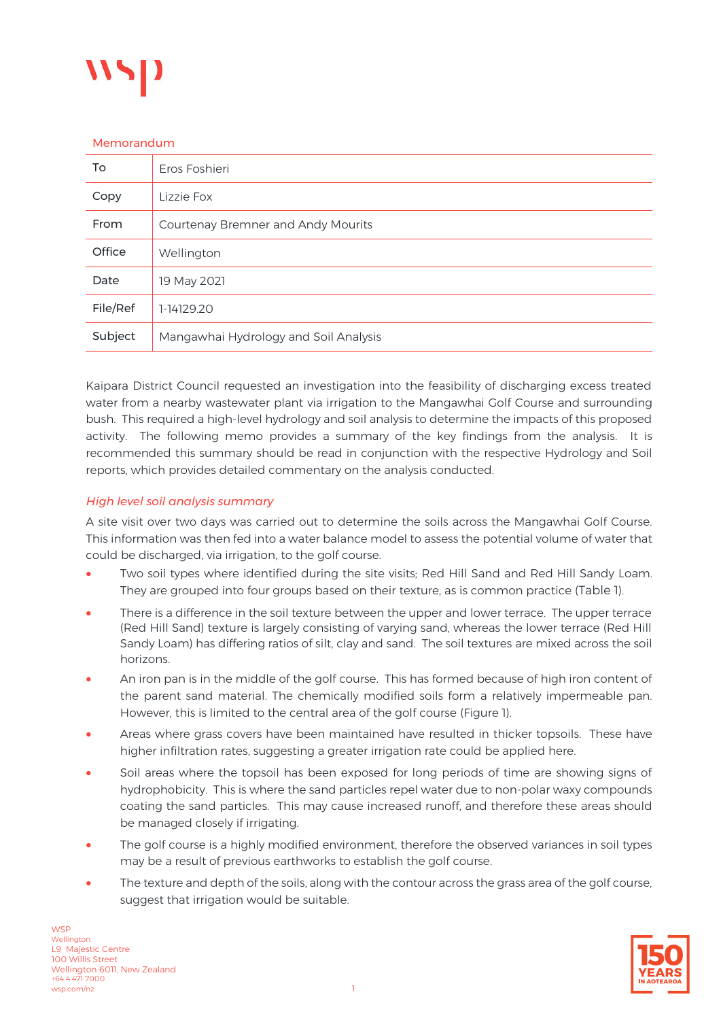

#### Memorandum

| To       | Eros Foshieri                         |  |  |  |  |  |
|----------|---------------------------------------|--|--|--|--|--|
| Copy     | Lizzie Fox                            |  |  |  |  |  |
| From     | Courtenay Bremner and Andy Mourits    |  |  |  |  |  |
| Office   | Wellington                            |  |  |  |  |  |
| Date     | 19 May 2021                           |  |  |  |  |  |
| File/Ref | 1-14129.20                            |  |  |  |  |  |
| Subject  | Mangawhai Hydrology and Soil Analysis |  |  |  |  |  |

Kaipara District Council requested an investigation into the feasibility of discharging excess treated water from a nearby wastewater plant via irrigation to the Mangawhai Golf Course and surrounding bush. This required a high-level hydrology and soil analysis to determine the impacts of this proposed activity. The following memo provides a summary of the key findings from the analysis. It is recommended this summary should be read in conjunction with the respective Hydrology and Soil reports, which provides detailed commentary on the analysis conducted.

# *High level soil analysis summary*

A site visit over two days was carried out to determine the soils across the Mangawhai Golf Course. This information was then fed into a water balance model to assess the potential volume of water that could be discharged, via irrigation, to the golf course.

- Two soil types where identified during the site visits; Red Hill Sand and Red Hill Sandy Loam. They are grouped into four groups based on their texture, as is common practice ([Table 1](#page-1-0)).
- There is a difference in the soil texture between the upper and lower terrace. The upper terrace (Red Hill Sand) texture is largely consisting of varying sand, whereas the lower terrace (Red Hill Sandy Loam) has differing ratios of silt, clay and sand. The soil textures are mixed across the soil horizons.
- An iron pan is in the middle of the golf course. This has formed because of high iron content of the parent sand material. The chemically modified soils form a relatively impermeable pan. However, this is limited to the central area of the golf course [\(Figure 1\)](#page-3-0).
- Areas where grass covers have been maintained have resulted in thicker topsoils. These have higher infiltration rates, suggesting a greater irrigation rate could be applied here.
- Soil areas where the topsoil has been exposed for long periods of time are showing signs of hydrophobicity. This is where the sand particles repel water due to non-polar waxy compounds coating the sand particles. This may cause increased runoff, and therefore these areas should be managed closely if irrigating.
- The golf course is a highly modified environment, therefore the observed variances in soil types may be a result of previous earthworks to establish the golf course.
- The texture and depth of the soils, along with the contour across the grass area of the golf course, suggest that irrigation would be suitable.

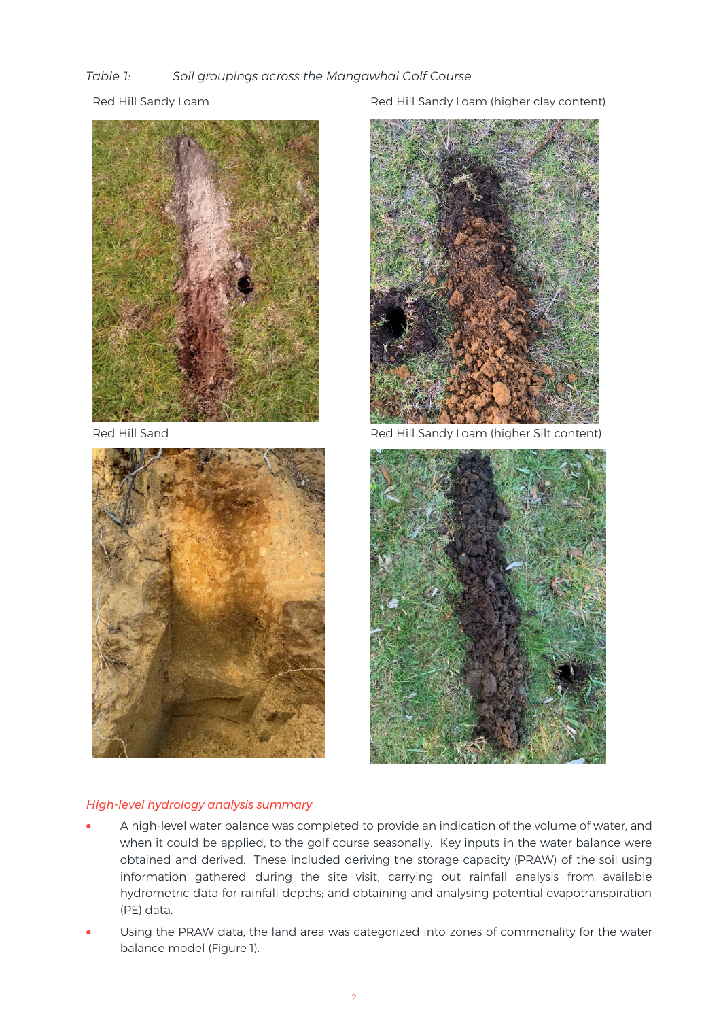# <span id="page-1-0"></span>*Table 1: Soil groupings across the Mangawhai Golf Course*





Red Hill Sandy Loam **Red Hill Sandy Loam (higher clay content)** 



Red Hill Sand Red Hill Sandy Loam (higher Silt content)



### *High-level hydrology analysis summary*

- A high-level water balance was completed to provide an indication of the volume of water, and when it could be applied, to the golf course seasonally. Key inputs in the water balance were obtained and derived. These included deriving the storage capacity (PRAW) of the soil using information gathered during the site visit; carrying out rainfall analysis from available hydrometric data for rainfall depths; and obtaining and analysing potential evapotranspiration (PE) data.
- Using the PRAW data, the land area was categorized into zones of commonality for the water balance model (Figure 1).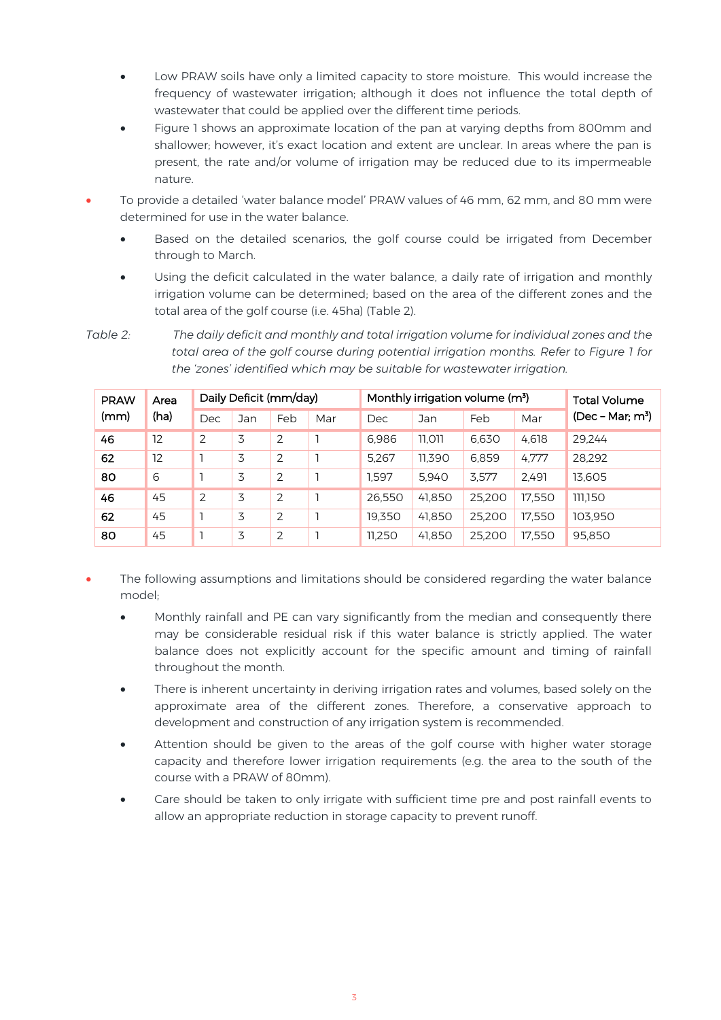- Low PRAW soils have only a limited capacity to store moisture. This would increase the frequency of wastewater irrigation; although it does not influence the total depth of wastewater that could be applied over the different time periods.
- Figure 1 shows an approximate location of the pan at varying depths from 800mm and shallower; however, it's exact location and extent are unclear. In areas where the pan is present, the rate and/or volume of irrigation may be reduced due to its impermeable nature.
- To provide a detailed 'water balance model' PRAW values of 46 mm, 62 mm, and 80 mm were determined for use in the water balance.
	- Based on the detailed scenarios, the golf course could be irrigated from December through to March.
	- Using the deficit calculated in the water balance, a daily rate of irrigation and monthly irrigation volume can be determined; based on the area of the different zones and the total area of the golf course (i.e. 45ha) [\(Table 2\)](#page-2-0).

<span id="page-2-0"></span>*Table 2: The daily deficit and monthly and total irrigation volume for individual zones and the total area of the golf course during potential irrigation months. Refer to Figure 1 for the 'zones' identified which may be suitable for wastewater irrigation.* 

| <b>PRAW</b><br>(mm) | Area<br>(ha) | Daily Deficit (mm/day) |     |                | Monthly irrigation volume (m <sup>3</sup> ) |        |        |        | <b>Total Volume</b> |                   |
|---------------------|--------------|------------------------|-----|----------------|---------------------------------------------|--------|--------|--------|---------------------|-------------------|
|                     |              | Dec                    | Jan | Feb            | Mar                                         | Dec    | Jan    | Feb    | Mar                 | $(Dec - Mar; m3)$ |
| 46                  | 12           | 2                      | 3   | $\overline{2}$ |                                             | 6,986  | 11,011 | 6,630  | 4,618               | 29.244            |
| 62                  | 12           |                        | 3   | 2              |                                             | 5.267  | 11.390 | 6.859  | 4.777               | 28,292            |
| 80                  | 6            |                        | 3   | $\overline{2}$ |                                             | 1.597  | 5.940  | 3.577  | 2.491               | 13,605            |
| 46                  | 45           | 2                      | 3   | $\overline{2}$ |                                             | 26.550 | 41.850 | 25.200 | 17,550              | 111.150           |
| 62                  | 45           |                        | 3   | 2              |                                             | 19.350 | 41.850 | 25.200 | 17,550              | 103.950           |
| 80                  | 45           |                        | 3   | $\overline{2}$ |                                             | 11,250 | 41,850 | 25,200 | 17,550              | 95,850            |

- The following assumptions and limitations should be considered regarding the water balance model;
	- Monthly rainfall and PE can vary significantly from the median and consequently there may be considerable residual risk if this water balance is strictly applied. The water balance does not explicitly account for the specific amount and timing of rainfall throughout the month.
	- There is inherent uncertainty in deriving irrigation rates and volumes, based solely on the approximate area of the different zones. Therefore, a conservative approach to development and construction of any irrigation system is recommended.
	- Attention should be given to the areas of the golf course with higher water storage capacity and therefore lower irrigation requirements (e.g. the area to the south of the course with a PRAW of 80mm).
	- Care should be taken to only irrigate with sufficient time pre and post rainfall events to allow an appropriate reduction in storage capacity to prevent runoff.